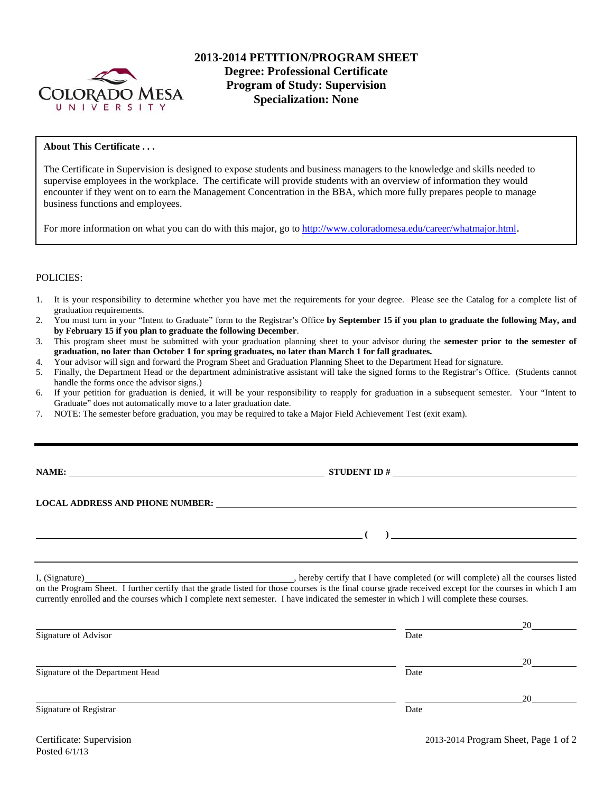

# **2013-2014 PETITION/PROGRAM SHEET Degree: Professional Certificate Program of Study: Supervision Specialization: None**

## **About This Certificate . . .**

The Certificate in Supervision is designed to expose students and business managers to the knowledge and skills needed to supervise employees in the workplace. The certificate will provide students with an overview of information they would encounter if they went on to earn the Management Concentration in the BBA, which more fully prepares people to manage business functions and employees.

For more information on what you can do with this major, go to http://www.coloradomesa.edu/career/whatmajor.html.

#### POLICIES:

- 1. It is your responsibility to determine whether you have met the requirements for your degree. Please see the Catalog for a complete list of graduation requirements.
- 2. You must turn in your "Intent to Graduate" form to the Registrar's Office **by September 15 if you plan to graduate the following May, and by February 15 if you plan to graduate the following December**.
- 3. This program sheet must be submitted with your graduation planning sheet to your advisor during the **semester prior to the semester of graduation, no later than October 1 for spring graduates, no later than March 1 for fall graduates.**
- 4. Your advisor will sign and forward the Program Sheet and Graduation Planning Sheet to the Department Head for signature.
- 5. Finally, the Department Head or the department administrative assistant will take the signed forms to the Registrar's Office. (Students cannot handle the forms once the advisor signs.)
- 6. If your petition for graduation is denied, it will be your responsibility to reapply for graduation in a subsequent semester. Your "Intent to Graduate" does not automatically move to a later graduation date.
- 7. NOTE: The semester before graduation, you may be required to take a Major Field Achievement Test (exit exam).

| <b>NAME:</b> |
|--------------|
|--------------|

**NAMES IN STUDENT ID #** <u>NAMES IN STUDENT ID #</u>

 **( )** 

## **LOCAL ADDRESS AND PHONE NUMBER:**

I, (Signature) **Solution** , hereby certify that I have completed (or will complete) all the courses listed on the Program Sheet. I further certify that the grade listed for those courses is the final course grade received except for the courses in which I am currently enrolled and the courses which I complete next semester. I have indicated the semester in which I will complete these courses.

|                                  |      | 20 |
|----------------------------------|------|----|
| Signature of Advisor             | Date |    |
|                                  |      | 20 |
| Signature of the Department Head | Date |    |
|                                  |      | 20 |
| Signature of Registrar           | Date |    |
|                                  |      |    |